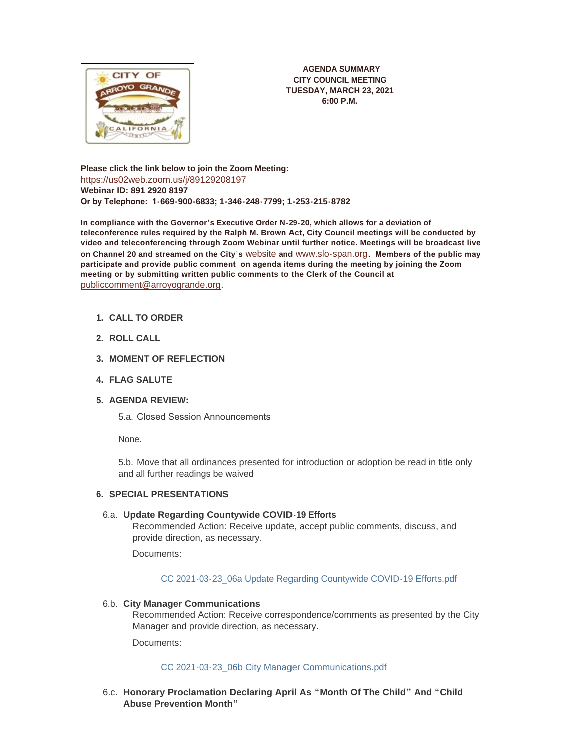

**AGENDA SUMMARY CITY COUNCIL MEETING TUESDAY, MARCH 23, 2021 6:00 P.M.**

**Please click the link below to join the Zoom Meeting:** <https://us02web.zoom.us/j/89129208197> **Webinar ID: 891 2920 8197 Or by Telephone: 1-669-900-6833; 1-346-248-7799; 1-253-215-8782**

**In compliance with the Governor's Executive Order N-29-20, which allows for a deviation of teleconference rules required by the Ralph M. Brown Act, City Council meetings will be conducted by video and teleconferencing through Zoom Webinar until further notice. Meetings will be broadcast live on Channel 20 and streamed on the City's** [website](http://www.arroyogrande.org/631/Govt-Access-TV---Channel-20) **and** [www.slo-span.org](https://cal-span.org/unipage/index.php?site=slo-span&channel=2&site=slo-span&channel=2)**. Members of the public may participate and provide public comment on agenda items during the meeting by joining the Zoom meeting or by submitting written public comments to the Clerk of the Council at**  [publiccomment@arroyogrande.org](mailto:publiccomment@arroyogrande.org)**.** 

- **CALL TO ORDER 1.**
- **ROLL CALL 2.**
- **MOMENT OF REFLECTION 3.**
- **FLAG SALUTE 4.**
- **AGENDA REVIEW: 5.**

5.a. Closed Session Announcements

None.

5.b. Move that all ordinances presented for introduction or adoption be read in title only and all further readings be waived

# **SPECIAL PRESENTATIONS 6.**

### **Update Regarding Countywide COVID-19 Efforts** 6.a.

Recommended Action: Receive update, accept public comments, discuss, and provide direction, as necessary.

Documents:

[CC 2021-03-23\\_06a Update Regarding Countywide COVID-19 Efforts.pdf](http://www.arroyogrande.org/AgendaCenter/ViewFile/Item/10834?fileID=16956)

## **City Manager Communications** 6.b.

Recommended Action: Receive correspondence/comments as presented by the City Manager and provide direction, as necessary.

Documents:

### [CC 2021-03-23\\_06b City Manager Communications.pdf](http://www.arroyogrande.org/AgendaCenter/ViewFile/Item/10835?fileID=16957)

**Honorary Proclamation Declaring April As "Month Of The Child" And "Child**  6.c. **Abuse Prevention Month"**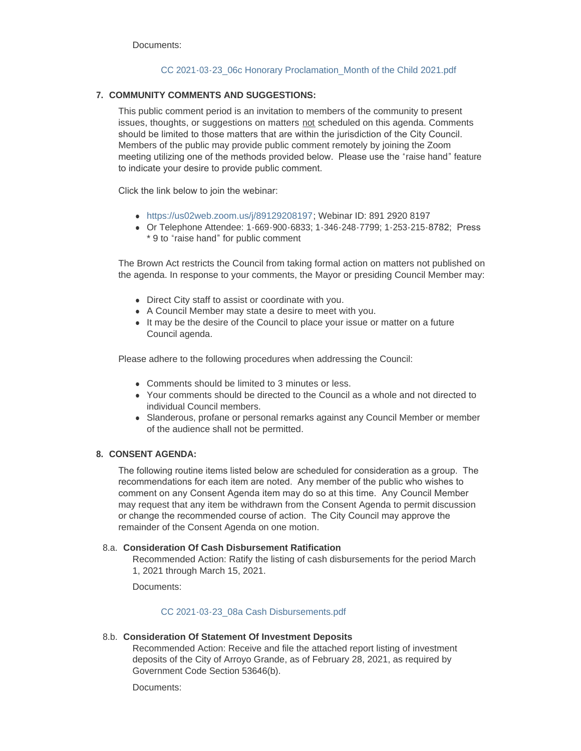# [CC 2021-03-23\\_06c Honorary Proclamation\\_Month of the Child 2021.pdf](http://www.arroyogrande.org/AgendaCenter/ViewFile/Item/10836?fileID=16958)

## **COMMUNITY COMMENTS AND SUGGESTIONS: 7.**

This public comment period is an invitation to members of the community to present issues, thoughts, or suggestions on matters not scheduled on this agenda. Comments should be limited to those matters that are within the jurisdiction of the City Council. Members of the public may provide public comment remotely by joining the Zoom meeting utilizing one of the methods provided below. Please use the "raise hand" feature to indicate your desire to provide public comment.

Click the link below to join the webinar:

- <sup>l</sup> <https://us02web.zoom.us/j/89129208197>; Webinar ID: 891 2920 8197
- <sup>l</sup> Or Telephone Attendee: 1-669-900-6833; 1-346-248-7799; 1-253-215-8782; Press \* 9 to "raise hand" for public comment

The Brown Act restricts the Council from taking formal action on matters not published on the agenda. In response to your comments, the Mayor or presiding Council Member may:

- Direct City staff to assist or coordinate with you.
- A Council Member may state a desire to meet with you.
- It may be the desire of the Council to place your issue or matter on a future Council agenda.

Please adhere to the following procedures when addressing the Council:

- Comments should be limited to 3 minutes or less.
- Your comments should be directed to the Council as a whole and not directed to individual Council members.
- Slanderous, profane or personal remarks against any Council Member or member of the audience shall not be permitted.

## **CONSENT AGENDA: 8.**

The following routine items listed below are scheduled for consideration as a group. The recommendations for each item are noted. Any member of the public who wishes to comment on any Consent Agenda item may do so at this time. Any Council Member may request that any item be withdrawn from the Consent Agenda to permit discussion or change the recommended course of action. The City Council may approve the remainder of the Consent Agenda on one motion.

### **Consideration Of Cash Disbursement Ratification** 8.a.

Recommended Action: Ratify the listing of cash disbursements for the period March 1, 2021 through March 15, 2021.

Documents:

### [CC 2021-03-23\\_08a Cash Disbursements.pdf](http://www.arroyogrande.org/AgendaCenter/ViewFile/Item/10837?fileID=16959)

### **Consideration Of Statement Of Investment Deposits** 8.b.

Recommended Action: Receive and file the attached report listing of investment deposits of the City of Arroyo Grande, as of February 28, 2021, as required by Government Code Section 53646(b).

Documents: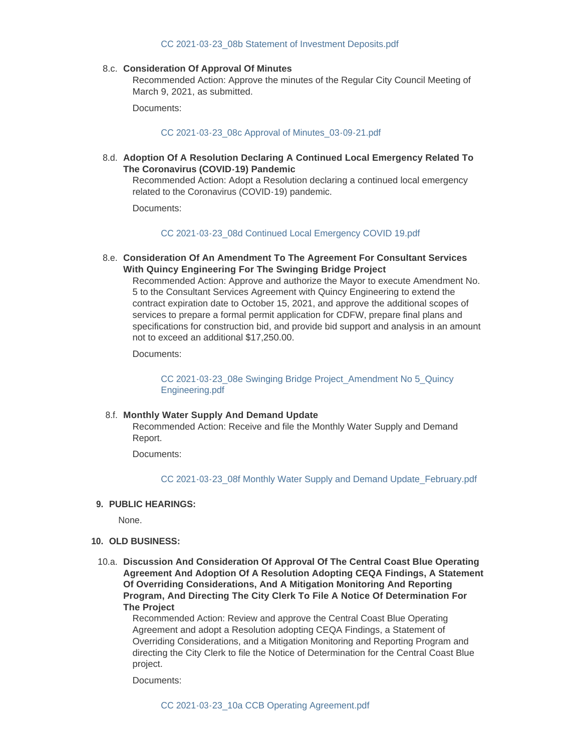#### [CC 2021-03-23\\_08b Statement of Investment Deposits.pdf](http://www.arroyogrande.org/AgendaCenter/ViewFile/Item/10838?fileID=16960)

#### **Consideration Of Approval Of Minutes** 8.c.

Recommended Action: Approve the minutes of the Regular City Council Meeting of March 9, 2021, as submitted.

Documents:

#### [CC 2021-03-23\\_08c Approval of Minutes\\_03-09-21.pdf](http://www.arroyogrande.org/AgendaCenter/ViewFile/Item/10839?fileID=16961)

**Adoption Of A Resolution Declaring A Continued Local Emergency Related To**  8.d. **The Coronavirus (COVID-19) Pandemic**

Recommended Action: Adopt a Resolution declaring a continued local emergency related to the Coronavirus (COVID-19) pandemic.

Documents:

#### [CC 2021-03-23\\_08d Continued Local Emergency COVID 19.pdf](http://www.arroyogrande.org/AgendaCenter/ViewFile/Item/10840?fileID=16962)

**Consideration Of An Amendment To The Agreement For Consultant Services**  8.e. **With Quincy Engineering For The Swinging Bridge Project** 

Recommended Action: Approve and authorize the Mayor to execute Amendment No. 5 to the Consultant Services Agreement with Quincy Engineering to extend the contract expiration date to October 15, 2021, and approve the additional scopes of services to prepare a formal permit application for CDFW, prepare final plans and specifications for construction bid, and provide bid support and analysis in an amount not to exceed an additional \$17,250.00.

Documents:

[CC 2021-03-23\\_08e Swinging Bridge Project\\_Amendment No 5\\_Quincy](http://www.arroyogrande.org/AgendaCenter/ViewFile/Item/10841?fileID=16963)  Engineering.pdf

#### **Monthly Water Supply And Demand Update** 8.f.

Recommended Action: Receive and file the Monthly Water Supply and Demand Report.

Documents:

[CC 2021-03-23\\_08f Monthly Water Supply and Demand Update\\_February.pdf](http://www.arroyogrande.org/AgendaCenter/ViewFile/Item/10842?fileID=16964)

#### **PUBLIC HEARINGS: 9.**

None.

- **OLD BUSINESS: 10.**
- **Discussion And Consideration Of Approval Of The Central Coast Blue Operating**  10.a. **Agreement And Adoption Of A Resolution Adopting CEQA Findings, A Statement Of Overriding Considerations, And A Mitigation Monitoring And Reporting Program, And Directing The City Clerk To File A Notice Of Determination For The Project**

Recommended Action: Review and approve the Central Coast Blue Operating Agreement and adopt a Resolution adopting CEQA Findings, a Statement of Overriding Considerations, and a Mitigation Monitoring and Reporting Program and directing the City Clerk to file the Notice of Determination for the Central Coast Blue project.

Documents: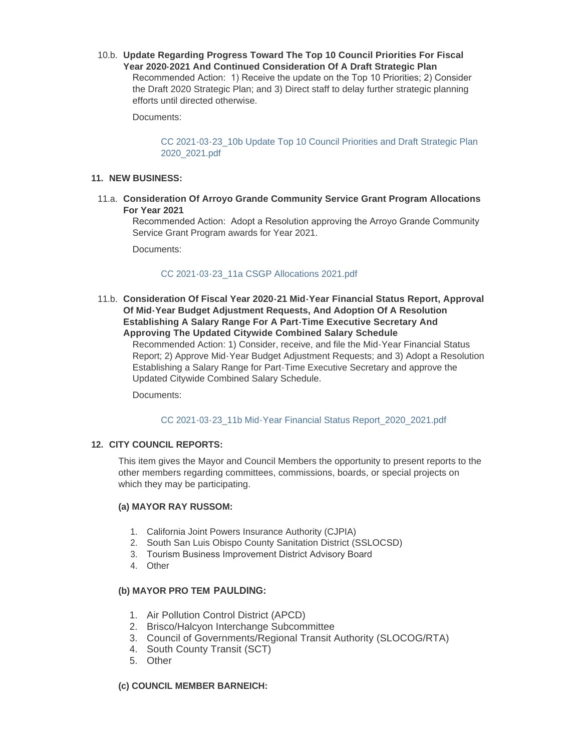**Update Regarding Progress Toward The Top 10 Council Priorities For Fiscal**  10.b. **Year 2020-2021 And Continued Consideration Of A Draft Strategic Plan** Recommended Action: 1) Receive the update on the Top 10 Priorities; 2) Consider the Draft 2020 Strategic Plan; and 3) Direct staff to delay further strategic planning efforts until directed otherwise.

Documents:

CC 2021-03-23\_10b Update Top 10 Council Priorities and Draft Strategic Plan 2020\_2021.pdf

## **NEW BUSINESS: 11.**

**Consideration Of Arroyo Grande Community Service Grant Program Allocations**  11.a. **For Year 2021**

Recommended Action: Adopt a Resolution approving the Arroyo Grande Community Service Grant Program awards for Year 2021.

Documents:

[CC 2021-03-23\\_11a CSGP Allocations 2021.pdf](http://www.arroyogrande.org/AgendaCenter/ViewFile/Item/10846?fileID=16967)

**Consideration Of Fiscal Year 2020-21 Mid-Year Financial Status Report, Approval**  11.b. **Of Mid-Year Budget Adjustment Requests, And Adoption Of A Resolution Establishing A Salary Range For A Part-Time Executive Secretary And Approving The Updated Citywide Combined Salary Schedule**

Recommended Action: 1) Consider, receive, and file the Mid-Year Financial Status Report; 2) Approve Mid-Year Budget Adjustment Requests; and 3) Adopt a Resolution Establishing a Salary Range for Part-Time Executive Secretary and approve the Updated Citywide Combined Salary Schedule.

Documents:

[CC 2021-03-23\\_11b Mid-Year Financial Status Report\\_2020\\_2021.pdf](http://www.arroyogrande.org/AgendaCenter/ViewFile/Item/10847?fileID=16968)

## **CITY COUNCIL REPORTS: 12.**

This item gives the Mayor and Council Members the opportunity to present reports to the other members regarding committees, commissions, boards, or special projects on which they may be participating.

### **(a) MAYOR RAY RUSSOM:**

- 1. California Joint Powers Insurance Authority (CJPIA)
- 2. South San Luis Obispo County Sanitation District (SSLOCSD)
- 3. Tourism Business Improvement District Advisory Board
- 4. Other

## **(b) MAYOR PRO TEM PAULDING:**

- 1. Air Pollution Control District (APCD)
- 2. Brisco/Halcyon Interchange Subcommittee
- 3. Council of Governments/Regional Transit Authority (SLOCOG/RTA)
- 4. South County Transit (SCT)
- 5. Other

## **(c) COUNCIL MEMBER BARNEICH:**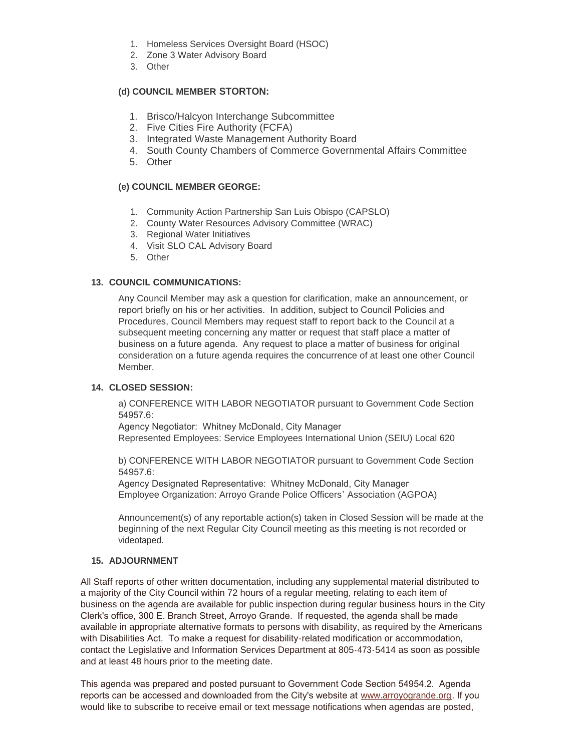- 1. Homeless Services Oversight Board (HSOC)
- 2. Zone 3 Water Advisory Board
- 3. Other

# **(d) COUNCIL MEMBER STORTON:**

- 1. Brisco/Halcyon Interchange Subcommittee
- 2. Five Cities Fire Authority (FCFA)
- 3. Integrated Waste Management Authority Board
- 4. South County Chambers of Commerce Governmental Affairs Committee
- 5. Other

# **(e) COUNCIL MEMBER GEORGE:**

- 1. Community Action Partnership San Luis Obispo (CAPSLO)
- 2. County Water Resources Advisory Committee (WRAC)
- 3. Regional Water Initiatives
- 4. Visit SLO CAL Advisory Board
- 5. Other

# 13. COUNCIL COMMUNICATIONS:

Any Council Member may ask a question for clarification, make an announcement, or report briefly on his or her activities. In addition, subject to Council Policies and Procedures, Council Members may request staff to report back to the Council at a subsequent meeting concerning any matter or request that staff place a matter of business on a future agenda. Any request to place a matter of business for original consideration on a future agenda requires the concurrence of at least one other Council Member.

# **CLOSED SESSION: 14.**

a) CONFERENCE WITH LABOR NEGOTIATOR pursuant to Government Code Section 54957.6:

Agency Negotiator: Whitney McDonald, City Manager Represented Employees: Service Employees International Union (SEIU) Local 620

b) CONFERENCE WITH LABOR NEGOTIATOR pursuant to Government Code Section 54957.6:

Agency Designated Representative: Whitney McDonald, City Manager Employee Organization: Arroyo Grande Police Officers' Association (AGPOA)

Announcement(s) of any reportable action(s) taken in Closed Session will be made at the beginning of the next Regular City Council meeting as this meeting is not recorded or videotaped.

# **ADJOURNMENT 15.**

All Staff reports of other written documentation, including any supplemental material distributed to a majority of the City Council within 72 hours of a regular meeting, relating to each item of business on the agenda are available for public inspection during regular business hours in the City Clerk's office, 300 E. Branch Street, Arroyo Grande. If requested, the agenda shall be made available in appropriate alternative formats to persons with disability, as required by the Americans with Disabilities Act. To make a request for disability-related modification or accommodation, contact the Legislative and Information Services Department at 805-473-5414 as soon as possible and at least 48 hours prior to the meeting date.

This agenda was prepared and posted pursuant to Government Code Section 54954.2. Agenda reports can be accessed and downloaded from the City's website at [www.arroyogrande.org](https://www.arroyogrande.org/). If you would like to subscribe to receive email or text message notifications when agendas are posted,